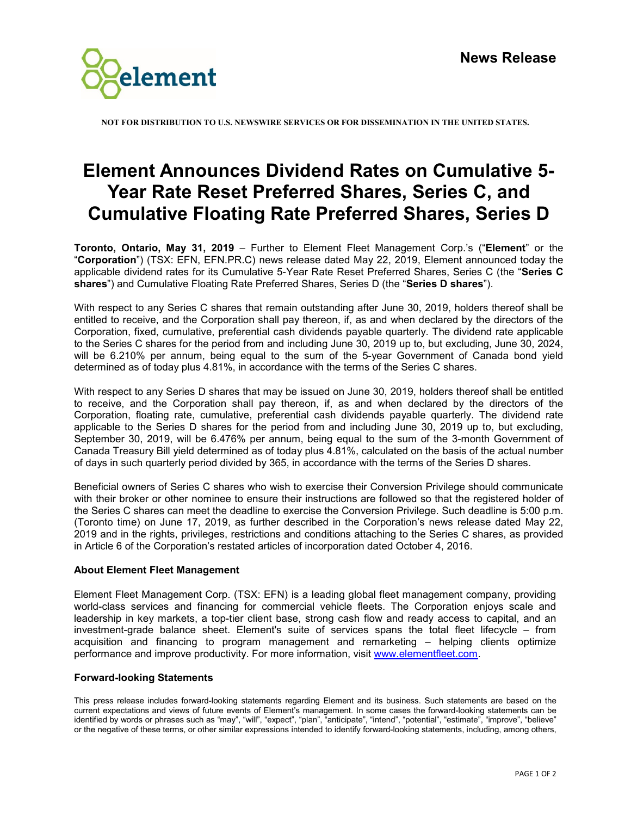

**NOT FOR DISTRIBUTION TO U.S. NEWSWIRE SERVICES OR FOR DISSEMINATION IN THE UNITED STATES.**

## **Element Announces Dividend Rates on Cumulative 5- Year Rate Reset Preferred Shares, Series C, and Cumulative Floating Rate Preferred Shares, Series D**

**Toronto, Ontario, May 31, 2019** – Further to Element Fleet Management Corp.'s ("**Element**" or the "**Corporation**") (TSX: EFN, EFN.PR.C) news release dated May 22, 2019, Element announced today the applicable dividend rates for its Cumulative 5-Year Rate Reset Preferred Shares, Series C (the "**Series C shares**") and Cumulative Floating Rate Preferred Shares, Series D (the "**Series D shares**").

With respect to any Series C shares that remain outstanding after June 30, 2019, holders thereof shall be entitled to receive, and the Corporation shall pay thereon, if, as and when declared by the directors of the Corporation, fixed, cumulative, preferential cash dividends payable quarterly. The dividend rate applicable to the Series C shares for the period from and including June 30, 2019 up to, but excluding, June 30, 2024, will be 6.210% per annum, being equal to the sum of the 5-year Government of Canada bond yield determined as of today plus 4.81%, in accordance with the terms of the Series C shares.

With respect to any Series D shares that may be issued on June 30, 2019, holders thereof shall be entitled to receive, and the Corporation shall pay thereon, if, as and when declared by the directors of the Corporation, floating rate, cumulative, preferential cash dividends payable quarterly. The dividend rate applicable to the Series D shares for the period from and including June 30, 2019 up to, but excluding, September 30, 2019, will be 6.476% per annum, being equal to the sum of the 3-month Government of Canada Treasury Bill yield determined as of today plus 4.81%, calculated on the basis of the actual number of days in such quarterly period divided by 365, in accordance with the terms of the Series D shares.

Beneficial owners of Series C shares who wish to exercise their Conversion Privilege should communicate with their broker or other nominee to ensure their instructions are followed so that the registered holder of the Series C shares can meet the deadline to exercise the Conversion Privilege. Such deadline is 5:00 p.m. (Toronto time) on June 17, 2019, as further described in the Corporation's news release dated May 22, 2019 and in the rights, privileges, restrictions and conditions attaching to the Series C shares, as provided in Article 6 of the Corporation's restated articles of incorporation dated October 4, 2016.

## **About Element Fleet Management**

Element Fleet Management Corp. (TSX: EFN) is a leading global fleet management company, providing world-class services and financing for commercial vehicle fleets. The Corporation enjoys scale and leadership in key markets, a top-tier client base, strong cash flow and ready access to capital, and an investment-grade balance sheet. Element's suite of services spans the total fleet lifecycle – from acquisition and financing to program management and remarketing – helping clients optimize performance and improve productivity. For more information, visit [www.elementfleet.com.](http://www.elementfleet.com/)

## **Forward-looking Statements**

This press release includes forward-looking statements regarding Element and its business. Such statements are based on the current expectations and views of future events of Element's management. In some cases the forward-looking statements can be identified by words or phrases such as "may", "will", "expect", "plan", "anticipate", "intend", "potential", "estimate", "improve", "believe" or the negative of these terms, or other similar expressions intended to identify forward-looking statements, including, among others,